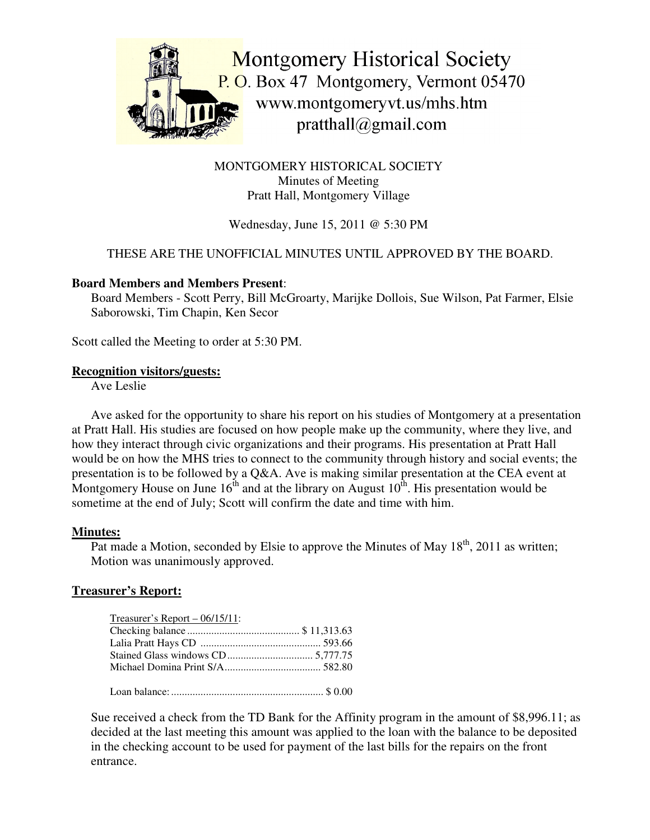

MONTGOMERY HISTORICAL SOCIETY Minutes of Meeting Pratt Hall, Montgomery Village

# Wednesday, June 15, 2011 @ 5:30 PM

## THESE ARE THE UNOFFICIAL MINUTES UNTIL APPROVED BY THE BOARD.

#### **Board Members and Members Present**:

Board Members - Scott Perry, Bill McGroarty, Marijke Dollois, Sue Wilson, Pat Farmer, Elsie Saborowski, Tim Chapin, Ken Secor

Scott called the Meeting to order at 5:30 PM.

#### **Recognition visitors/guests:**

Ave Leslie

Ave asked for the opportunity to share his report on his studies of Montgomery at a presentation at Pratt Hall. His studies are focused on how people make up the community, where they live, and how they interact through civic organizations and their programs. His presentation at Pratt Hall would be on how the MHS tries to connect to the community through history and social events; the presentation is to be followed by a Q&A. Ave is making similar presentation at the CEA event at Montgomery House on June  $16^{\text{th}}$  and at the library on August  $10^{\text{th}}$ . His presentation would be sometime at the end of July; Scott will confirm the date and time with him.

#### **Minutes:**

Pat made a Motion, seconded by Elsie to approve the Minutes of May  $18<sup>th</sup>$ , 2011 as written; Motion was unanimously approved.

#### **Treasurer's Report:**

| Treasurer's Report $-06/15/11$ : |  |
|----------------------------------|--|
|                                  |  |
|                                  |  |
|                                  |  |
|                                  |  |
|                                  |  |

Loan balance:......................................................... \$ 0.00

Sue received a check from the TD Bank for the Affinity program in the amount of \$8,996.11; as decided at the last meeting this amount was applied to the loan with the balance to be deposited in the checking account to be used for payment of the last bills for the repairs on the front entrance.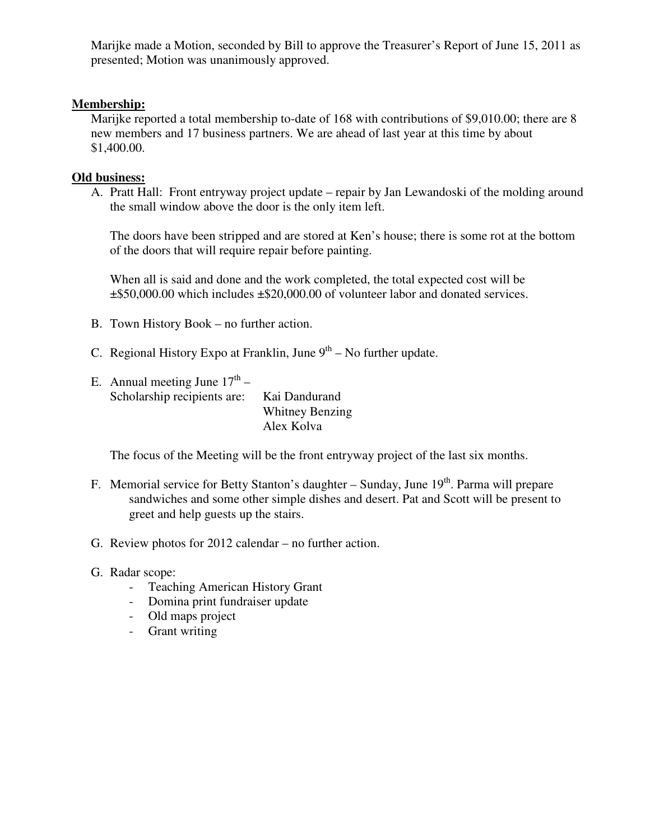Marijke made a Motion, seconded by Bill to approve the Treasurer's Report of June 15, 2011 as presented; Motion was unanimously approved.

## **Membership:**

Marijke reported a total membership to-date of 168 with contributions of \$9,010.00; there are 8 new members and 17 business partners. We are ahead of last year at this time by about \$1,400.00.

## **Old business:**

A. Pratt Hall: Front entryway project update – repair by Jan Lewandoski of the molding around the small window above the door is the only item left.

The doors have been stripped and are stored at Ken's house; there is some rot at the bottom of the doors that will require repair before painting.

When all is said and done and the work completed, the total expected cost will be ±\$50,000.00 which includes ±\$20,000.00 of volunteer labor and donated services.

- B. Town History Book no further action.
- C. Regional History Expo at Franklin, June  $9<sup>th</sup>$  No further update.
- E. Annual meeting June  $17^{th}$  Scholarship recipients are: Kai Dandurand Whitney Benzing Alex Kolva

The focus of the Meeting will be the front entryway project of the last six months.

- F. Memorial service for Betty Stanton's daughter Sunday, June 19<sup>th</sup>. Parma will prepare sandwiches and some other simple dishes and desert. Pat and Scott will be present to greet and help guests up the stairs.
- G. Review photos for 2012 calendar no further action.
- G. Radar scope:
	- Teaching American History Grant
	- Domina print fundraiser update
	- Old maps project
	- Grant writing